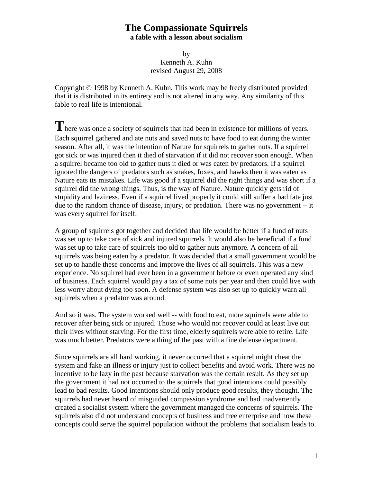by Kenneth A. Kuhn revised August 29, 2008

Copyright © 1998 by Kenneth A. Kuhn. This work may be freely distributed provided that it is distributed in its entirety and is not altered in any way. Any similarity of this fable to real life is intentional.

There was once a society of squirrels that had been in existence for millions of years. Each squirrel gathered and ate nuts and saved nuts to have food to eat during the winter season. After all, it was the intention of Nature for squirrels to gather nuts. If a squirrel got sick or was injured then it died of starvation if it did not recover soon enough. When a squirrel became too old to gather nuts it died or was eaten by predators. If a squirrel ignored the dangers of predators such as snakes, foxes, and hawks then it was eaten as Nature eats its mistakes. Life was good if a squirrel did the right things and was short if a squirrel did the wrong things. Thus, is the way of Nature. Nature quickly gets rid of stupidity and laziness. Even if a squirrel lived properly it could still suffer a bad fate just due to the random chance of disease, injury, or predation. There was no government -- it was every squirrel for itself.

A group of squirrels got together and decided that life would be better if a fund of nuts was set up to take care of sick and injured squirrels. It would also be beneficial if a fund was set up to take care of squirrels too old to gather nuts anymore. A concern of all squirrels was being eaten by a predator. It was decided that a small government would be set up to handle these concerns and improve the lives of all squirrels. This was a new experience. No squirrel had ever been in a government before or even operated any kind of business. Each squirrel would pay a tax of some nuts per year and then could live with less worry about dying too soon. A defense system was also set up to quickly warn all squirrels when a predator was around.

And so it was. The system worked well -- with food to eat, more squirrels were able to recover after being sick or injured. Those who would not recover could at least live out their lives without starving. For the first time, elderly squirrels were able to retire. Life was much better. Predators were a thing of the past with a fine defense department.

Since squirrels are all hard working, it never occurred that a squirrel might cheat the system and fake an illness or injury just to collect benefits and avoid work. There was no incentive to be lazy in the past because starvation was the certain result. As they set up the government it had not occurred to the squirrels that good intentions could possibly lead to bad results. Good intentions should only produce good results, they thought. The squirrels had never heard of misguided compassion syndrome and had inadvertently created a socialist system where the government managed the concerns of squirrels. The squirrels also did not understand concepts of business and free enterprise and how these concepts could serve the squirrel population without the problems that socialism leads to.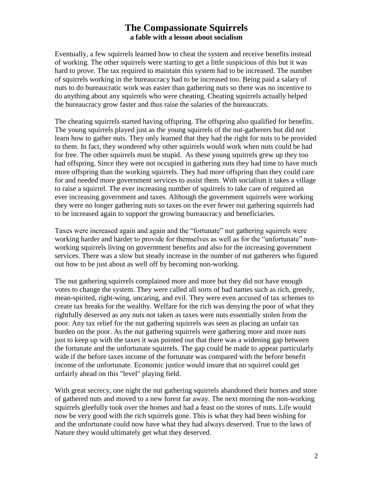Eventually, a few squirrels learned how to cheat the system and receive benefits instead of working. The other squirrels were starting to get a little suspicious of this but it was hard to prove. The tax required to maintain this system had to be increased. The number of squirrels working in the bureaucracy had to be increased too. Being paid a salary of nuts to do bureaucratic work was easier than gathering nuts so there was no incentive to do anything about any squirrels who were cheating. Cheating squirrels actually helped the bureaucracy grow faster and thus raise the salaries of the bureaucrats.

The cheating squirrels started having offspring. The offspring also qualified for benefits. The young squirrels played just as the young squirrels of the nut-gatherers but did not learn how to gather nuts. They only learned that they had the right for nuts to be provided to them. In fact, they wondered why other squirrels would work when nuts could be had for free. The other squirrels must be stupid. As these young squirrels grew up they too had offspring. Since they were not occupied in gathering nuts they had time to have much more offspring than the working squirrels. They had more offspring than they could care for and needed more government services to assist them. With socialism it takes a village to raise a squirrel. The ever increasing number of squirrels to take care of required an ever increasing government and taxes. Although the government squirrels were working they were no longer gathering nuts so taxes on the ever fewer nut gathering squirrels had to be increased again to support the growing bureaucracy and beneficiaries.

Taxes were increased again and again and the "fortunate" nut gathering squirrels were working harder and harder to provide for themselves as well as for the "unfortunate" nonworking squirrels living on government benefits and also for the increasing government services. There was a slow but steady increase in the number of nut gatherers who figured out how to be just about as well off by becoming non-working.

The nut gathering squirrels complained more and more but they did not have enough votes to change the system. They were called all sorts of bad names such as rich, greedy, mean-spirited, right-wing, uncaring, and evil. They were even accused of tax schemes to create tax breaks for the wealthy. Welfare for the rich was denying the poor of what they rightfully deserved as any nuts not taken as taxes were nuts essentially stolen from the poor. Any tax relief for the nut gathering squirrels was seen as placing an unfair tax burden on the poor. As the nut gathering squirrels were gathering more and more nuts just to keep up with the taxes it was pointed out that there was a widening gap between the fortunate and the unfortunate squirrels. The gap could be made to appear particularly wide if the before taxes income of the fortunate was compared with the before benefit income of the unfortunate. Economic justice would insure that no squirrel could get unfairly ahead on this "level" playing field.

With great secrecy, one night the nut gathering squirrels abandoned their homes and store of gathered nuts and moved to a new forest far away. The next morning the non-working squirrels gleefully took over the homes and had a feast on the stores of nuts. Life would now be very good with the rich squirrels gone. This is what they had been wishing for and the unfortunate could now have what they had always deserved. True to the laws of Nature they would ultimately get what they deserved.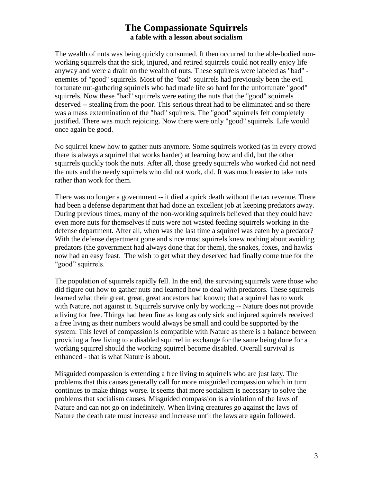The wealth of nuts was being quickly consumed. It then occurred to the able-bodied nonworking squirrels that the sick, injured, and retired squirrels could not really enjoy life anyway and were a drain on the wealth of nuts. These squirrels were labeled as "bad" enemies of "good" squirrels. Most of the "bad" squirrels had previously been the evil fortunate nut-gathering squirrels who had made life so hard for the unfortunate "good" squirrels. Now these "bad" squirrels were eating the nuts that the "good" squirrels deserved -- stealing from the poor. This serious threat had to be eliminated and so there was a mass extermination of the "bad" squirrels. The "good" squirrels felt completely justified. There was much rejoicing. Now there were only "good" squirrels. Life would once again be good.

No squirrel knew how to gather nuts anymore. Some squirrels worked (as in every crowd there is always a squirrel that works harder) at learning how and did, but the other squirrels quickly took the nuts. After all, those greedy squirrels who worked did not need the nuts and the needy squirrels who did not work, did. It was much easier to take nuts rather than work for them.

There was no longer a government -- it died a quick death without the tax revenue. There had been a defense department that had done an excellent job at keeping predators away. During previous times, many of the non-working squirrels believed that they could have even more nuts for themselves if nuts were not wasted feeding squirrels working in the defense department. After all, when was the last time a squirrel was eaten by a predator? With the defense department gone and since most squirrels knew nothing about avoiding predators (the government had always done that for them), the snakes, foxes, and hawks now had an easy feast. The wish to get what they deserved had finally come true for the "good" squirrels.

The population of squirrels rapidly fell. In the end, the surviving squirrels were those who did figure out how to gather nuts and learned how to deal with predators. These squirrels learned what their great, great, great ancestors had known; that a squirrel has to work with Nature, not against it. Squirrels survive only by working -- Nature does not provide a living for free. Things had been fine as long as only sick and injured squirrels received a free living as their numbers would always be small and could be supported by the system. This level of compassion is compatible with Nature as there is a balance between providing a free living to a disabled squirrel in exchange for the same being done for a working squirrel should the working squirrel become disabled. Overall survival is enhanced - that is what Nature is about.

Misguided compassion is extending a free living to squirrels who are just lazy. The problems that this causes generally call for more misguided compassion which in turn continues to make things worse. It seems that more socialism is necessary to solve the problems that socialism causes. Misguided compassion is a violation of the laws of Nature and can not go on indefinitely. When living creatures go against the laws of Nature the death rate must increase and increase until the laws are again followed.